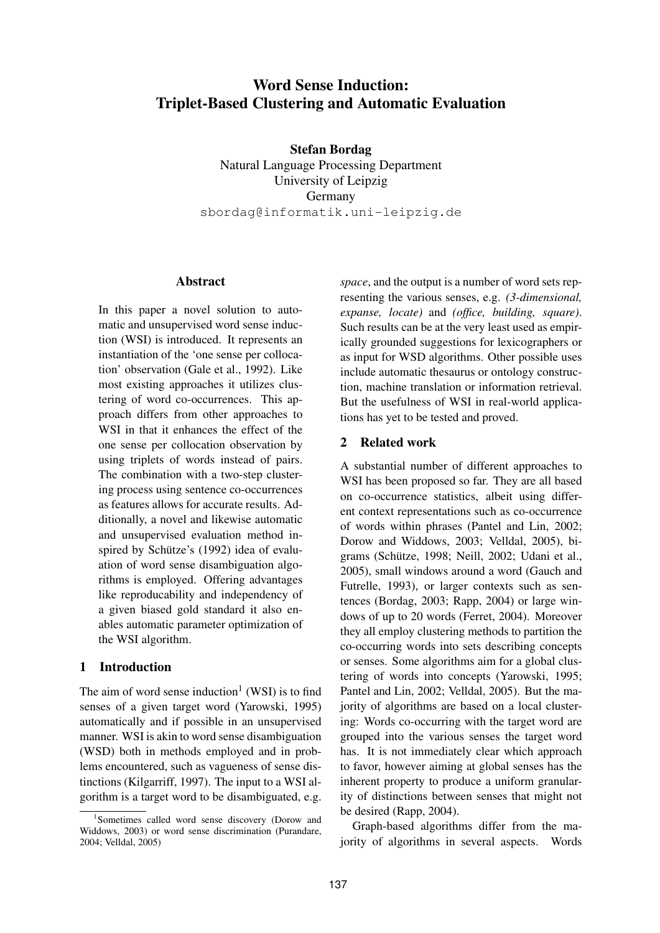# **Word Sense Induction: Triplet-Based Clustering and Automatic Evaluation**

**Stefan Bordag** Natural Language Processing Department University of Leipzig Germany sbordag@informatik.uni-leipzig.de

#### **Abstract**

In this paper a novel solution to automatic and unsupervised word sense induction (WSI) is introduced. It represents an instantiation of the 'one sense per collocation' observation (Gale et al., 1992). Like most existing approaches it utilizes clustering of word co-occurrences. This approach differs from other approaches to WSI in that it enhances the effect of the one sense per collocation observation by using triplets of words instead of pairs. The combination with a two-step clustering process using sentence co-occurrences as features allows for accurate results. Additionally, a novel and likewise automatic and unsupervised evaluation method inspired by Schütze's (1992) idea of evaluation of word sense disambiguation algorithms is employed. Offering advantages like reproducability and independency of a given biased gold standard it also enables automatic parameter optimization of the WSI algorithm.

# **1 Introduction**

The aim of word sense induction<sup>1</sup> (WSI) is to find senses of a given target word (Yarowski, 1995) automatically and if possible in an unsupervised manner. WSI is akin to word sense disambiguation (WSD) both in methods employed and in problems encountered, such as vagueness of sense distinctions (Kilgarriff, 1997). The input to a WSI algorithm is a target word to be disambiguated, e.g. *space*, and the output is a number of word sets representing the various senses, e.g. *(3-dimensional, expanse, locate)* and *(office, building, square)*. Such results can be at the very least used as empirically grounded suggestions for lexicographers or as input for WSD algorithms. Other possible uses include automatic thesaurus or ontology construction, machine translation or information retrieval. But the usefulness of WSI in real-world applications has yet to be tested and proved.

## **2 Related work**

A substantial number of different approaches to WSI has been proposed so far. They are all based on co-occurrence statistics, albeit using different context representations such as co-occurrence of words within phrases (Pantel and Lin, 2002; Dorow and Widdows, 2003; Velldal, 2005), bigrams (Schütze, 1998; Neill, 2002; Udani et al., 2005), small windows around a word (Gauch and Futrelle, 1993), or larger contexts such as sentences (Bordag, 2003; Rapp, 2004) or large windows of up to 20 words (Ferret, 2004). Moreover they all employ clustering methods to partition the co-occurring words into sets describing concepts or senses. Some algorithms aim for a global clustering of words into concepts (Yarowski, 1995; Pantel and Lin, 2002; Velldal, 2005). But the majority of algorithms are based on a local clustering: Words co-occurring with the target word are grouped into the various senses the target word has. It is not immediately clear which approach to favor, however aiming at global senses has the inherent property to produce a uniform granularity of distinctions between senses that might not be desired (Rapp, 2004).

Graph-based algorithms differ from the majority of algorithms in several aspects. Words

<sup>1</sup> Sometimes called word sense discovery (Dorow and Widdows, 2003) or word sense discrimination (Purandare, 2004; Velldal, 2005)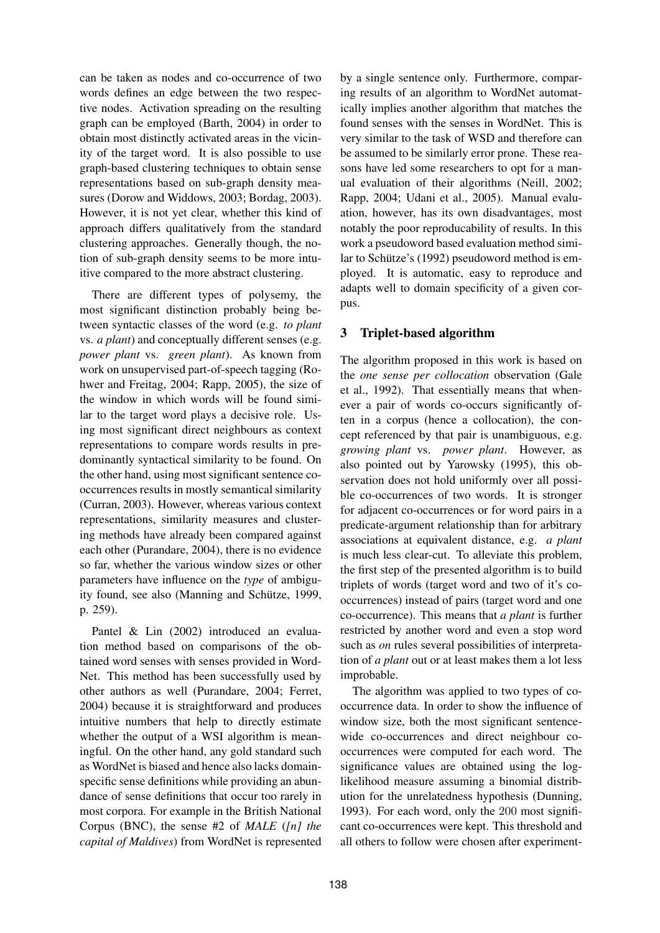can be taken as nodes and co-occurrence of two words defines an edge between the two respective nodes. Activation spreading on the resulting graph can be employed (Barth, 2004) in order to obtain most distinctly activated areas in the vicinity of the target word. It is also possible to use graph-based clustering techniques to obtain sense representations based on sub-graph density measures (Dorow and Widdows, 2003; Bordag, 2003). However, it is not yet clear, whether this kind of approach differs qualitatively from the standard clustering approaches. Generally though, the notion of sub-graph density seems to be more intuitive compared to the more abstract clustering.

There are different types of polysemy, the most significant distinction probably being between syntactic classes of the word (e.g. *to plant* vs. *a plant*) and conceptually different senses (e.g. *power plant* vs. *green plant*). As known from work on unsupervised part-of-speech tagging (Rohwer and Freitag, 2004; Rapp, 2005), the size of the window in which words will be found similar to the target word plays a decisive role. Using most significant direct neighbours as context representations to compare words results in predominantly syntactical similarity to be found. On the other hand, using most significant sentence cooccurrences results in mostly semantical similarity (Curran, 2003). However, whereas various context representations, similarity measures and clustering methods have already been compared against each other (Purandare, 2004), there is no evidence so far, whether the various window sizes or other parameters have influence on the *type* of ambiguity found, see also (Manning and Schütze, 1999, p. 259).

Pantel & Lin (2002) introduced an evaluation method based on comparisons of the obtained word senses with senses provided in Word-Net. This method has been successfully used by other authors as well (Purandare, 2004; Ferret, 2004) because it is straightforward and produces intuitive numbers that help to directly estimate whether the output of a WSI algorithm is meaningful. On the other hand, any gold standard such as WordNet is biased and hence also lacks domainspecific sense definitions while providing an abundance of sense definitions that occur too rarely in most corpora. For example in the British National Corpus (BNC), the sense #2 of *MALE* (*[n] the capital of Maldives*) from WordNet is represented by a single sentence only. Furthermore, comparing results of an algorithm to WordNet automatically implies another algorithm that matches the found senses with the senses in WordNet. This is very similar to the task of WSD and therefore can be assumed to be similarly error prone. These reasons have led some researchers to opt for a manual evaluation of their algorithms (Neill, 2002; Rapp, 2004; Udani et al., 2005). Manual evaluation, however, has its own disadvantages, most notably the poor reproducability of results. In this work a pseudoword based evaluation method similar to Schütze's (1992) pseudoword method is employed. It is automatic, easy to reproduce and adapts well to domain specificity of a given corpus.

# **3 Triplet-based algorithm**

The algorithm proposed in this work is based on the *one sense per collocation* observation (Gale et al., 1992). That essentially means that whenever a pair of words co-occurs significantly often in a corpus (hence a collocation), the concept referenced by that pair is unambiguous, e.g. *growing plant* vs. *power plant*. However, as also pointed out by Yarowsky (1995), this observation does not hold uniformly over all possible co-occurrences of two words. It is stronger for adjacent co-occurrences or for word pairs in a predicate-argument relationship than for arbitrary associations at equivalent distance, e.g. *a plant* is much less clear-cut. To alleviate this problem, the first step of the presented algorithm is to build triplets of words (target word and two of it's cooccurrences) instead of pairs (target word and one co-occurrence). This means that *a plant* is further restricted by another word and even a stop word such as *on* rules several possibilities of interpretation of *a plant* out or at least makes them a lot less improbable.

The algorithm was applied to two types of cooccurrence data. In order to show the influence of window size, both the most significant sentencewide co-occurrences and direct neighbour cooccurrences were computed for each word. The significance values are obtained using the loglikelihood measure assuming a binomial distribution for the unrelatedness hypothesis (Dunning, 1993). For each word, only the 200 most significant co-occurrences were kept. This threshold and all others to follow were chosen after experiment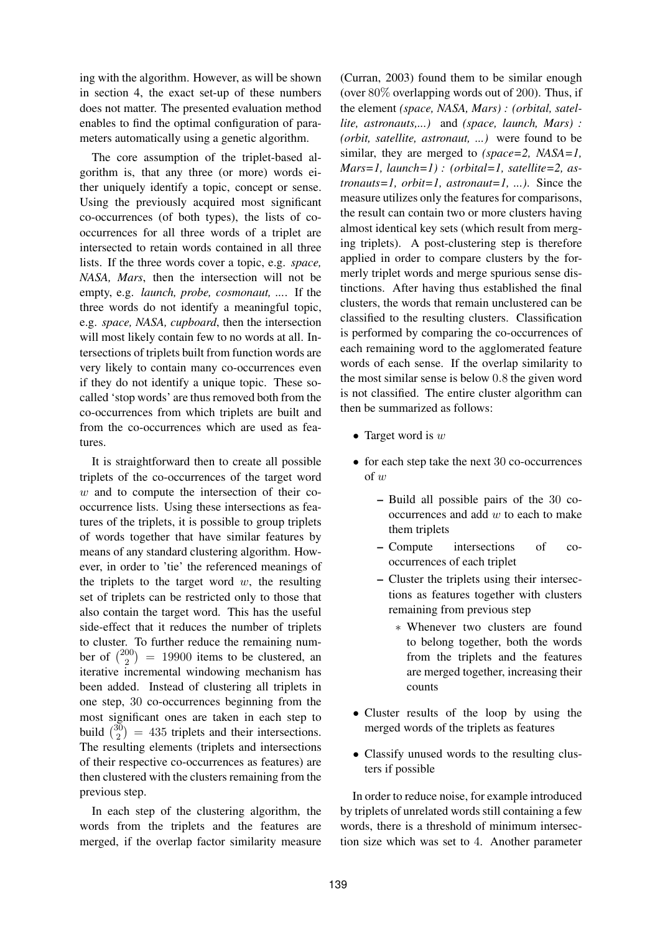ing with the algorithm. However, as will be shown in section 4, the exact set-up of these numbers does not matter. The presented evaluation method enables to find the optimal configuration of parameters automatically using a genetic algorithm.

The core assumption of the triplet-based algorithm is, that any three (or more) words either uniquely identify a topic, concept or sense. Using the previously acquired most significant co-occurrences (of both types), the lists of cooccurrences for all three words of a triplet are intersected to retain words contained in all three lists. If the three words cover a topic, e.g. *space, NASA, Mars*, then the intersection will not be empty, e.g. *launch, probe, cosmonaut, ...*. If the three words do not identify a meaningful topic, e.g. *space, NASA, cupboard*, then the intersection will most likely contain few to no words at all. Intersections of triplets built from function words are very likely to contain many co-occurrences even if they do not identify a unique topic. These socalled 'stop words' are thus removed both from the co-occurrences from which triplets are built and from the co-occurrences which are used as features.

It is straightforward then to create all possible triplets of the co-occurrences of the target word  $w$  and to compute the intersection of their cooccurrence lists. Using these intersections as features of the triplets, it is possible to group triplets of words together that have similar features by means of any standard clustering algorithm. However, in order to 'tie' the referenced meanings of the triplets to the target word  $w$ , the resulting set of triplets can be restricted only to those that also contain the target word. This has the useful side-effect that it reduces the number of triplets to cluster. To further reduce the remaining number of  $\binom{200}{2}$  $\binom{00}{2}$  = 19900 items to be clustered, an iterative incremental windowing mechanism has been added. Instead of clustering all triplets in one step, 30 co-occurrences beginning from the most significant ones are taken in each step to build  $\binom{30}{2}$  $\binom{30}{2}$  = 435 triplets and their intersections. The resulting elements (triplets and intersections of their respective co-occurrences as features) are then clustered with the clusters remaining from the previous step.

In each step of the clustering algorithm, the words from the triplets and the features are merged, if the overlap factor similarity measure

(Curran, 2003) found them to be similar enough (over 80% overlapping words out of 200). Thus, if the element *(space, NASA, Mars) : (orbital, satellite, astronauts,...)* and *(space, launch, Mars) : (orbit, satellite, astronaut, ...)* were found to be similar, they are merged to *(space=2, NASA=1, Mars=1, launch=1) : (orbital=1, satellite=2, astronauts=1, orbit=1, astronaut=1, ...)*. Since the measure utilizes only the features for comparisons, the result can contain two or more clusters having almost identical key sets (which result from merging triplets). A post-clustering step is therefore applied in order to compare clusters by the formerly triplet words and merge spurious sense distinctions. After having thus established the final clusters, the words that remain unclustered can be classified to the resulting clusters. Classification is performed by comparing the co-occurrences of each remaining word to the agglomerated feature words of each sense. If the overlap similarity to the most similar sense is below 0.8 the given word is not classified. The entire cluster algorithm can then be summarized as follows:

- Target word is  $w$
- for each step take the next 30 co-occurrences  $of w$ 
	- **–** Build all possible pairs of the 30 co $occurrences and add w to each to make$ them triplets
	- **–** Compute intersections of cooccurrences of each triplet
	- **–** Cluster the triplets using their intersections as features together with clusters remaining from previous step
		- ∗ Whenever two clusters are found to belong together, both the words from the triplets and the features are merged together, increasing their counts
- Cluster results of the loop by using the merged words of the triplets as features
- Classify unused words to the resulting clusters if possible

In order to reduce noise, for example introduced by triplets of unrelated words still containing a few words, there is a threshold of minimum intersection size which was set to 4. Another parameter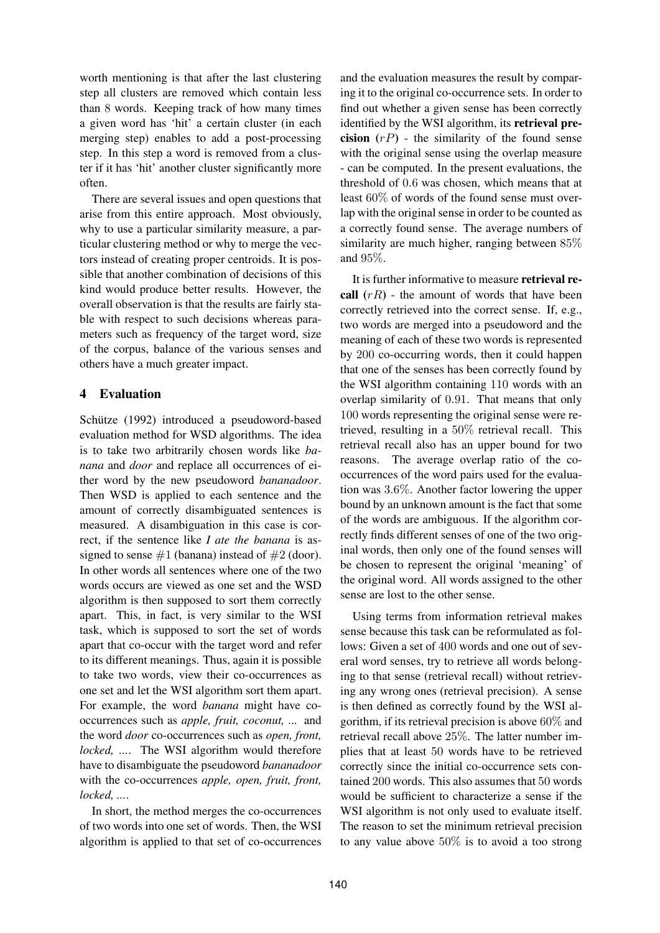worth mentioning is that after the last clustering step all clusters are removed which contain less than 8 words. Keeping track of how many times a given word has 'hit' a certain cluster (in each merging step) enables to add a post-processing step. In this step a word is removed from a cluster if it has 'hit' another cluster significantly more often.

There are several issues and open questions that arise from this entire approach. Most obviously, why to use a particular similarity measure, a particular clustering method or why to merge the vectors instead of creating proper centroids. It is possible that another combination of decisions of this kind would produce better results. However, the overall observation is that the results are fairly stable with respect to such decisions whereas parameters such as frequency of the target word, size of the corpus, balance of the various senses and others have a much greater impact.

# **4 Evaluation**

Schütze (1992) introduced a pseudoword-based evaluation method for WSD algorithms. The idea is to take two arbitrarily chosen words like *banana* and *door* and replace all occurrences of either word by the new pseudoword *bananadoor*. Then WSD is applied to each sentence and the amount of correctly disambiguated sentences is measured. A disambiguation in this case is correct, if the sentence like *I ate the banana* is assigned to sense  $#1$  (banana) instead of  $#2$  (door). In other words all sentences where one of the two words occurs are viewed as one set and the WSD algorithm is then supposed to sort them correctly apart. This, in fact, is very similar to the WSI task, which is supposed to sort the set of words apart that co-occur with the target word and refer to its different meanings. Thus, again it is possible to take two words, view their co-occurrences as one set and let the WSI algorithm sort them apart. For example, the word *banana* might have cooccurrences such as *apple, fruit, coconut, ...* and the word *door* co-occurrences such as *open, front, locked, ...*. The WSI algorithm would therefore have to disambiguate the pseudoword *bananadoor* with the co-occurrences *apple, open, fruit, front, locked, ...*.

In short, the method merges the co-occurrences of two words into one set of words. Then, the WSI algorithm is applied to that set of co-occurrences and the evaluation measures the result by comparing it to the original co-occurrence sets. In order to find out whether a given sense has been correctly identified by the WSI algorithm, its **retrieval precision**  $(rP)$  - the similarity of the found sense with the original sense using the overlap measure - can be computed. In the present evaluations, the threshold of 0.6 was chosen, which means that at least 60% of words of the found sense must overlap with the original sense in order to be counted as a correctly found sense. The average numbers of similarity are much higher, ranging between 85% and 95%.

It is further informative to measure **retrieval recall**  $(rR)$  - the amount of words that have been correctly retrieved into the correct sense. If, e.g., two words are merged into a pseudoword and the meaning of each of these two words is represented by 200 co-occurring words, then it could happen that one of the senses has been correctly found by the WSI algorithm containing 110 words with an overlap similarity of 0.91. That means that only 100 words representing the original sense were retrieved, resulting in a 50% retrieval recall. This retrieval recall also has an upper bound for two reasons. The average overlap ratio of the cooccurrences of the word pairs used for the evaluation was 3.6%. Another factor lowering the upper bound by an unknown amount is the fact that some of the words are ambiguous. If the algorithm correctly finds different senses of one of the two original words, then only one of the found senses will be chosen to represent the original 'meaning' of the original word. All words assigned to the other sense are lost to the other sense.

Using terms from information retrieval makes sense because this task can be reformulated as follows: Given a set of 400 words and one out of several word senses, try to retrieve all words belonging to that sense (retrieval recall) without retrieving any wrong ones (retrieval precision). A sense is then defined as correctly found by the WSI algorithm, if its retrieval precision is above 60% and retrieval recall above 25%. The latter number implies that at least 50 words have to be retrieved correctly since the initial co-occurrence sets contained 200 words. This also assumes that 50 words would be sufficient to characterize a sense if the WSI algorithm is not only used to evaluate itself. The reason to set the minimum retrieval precision to any value above  $50\%$  is to avoid a too strong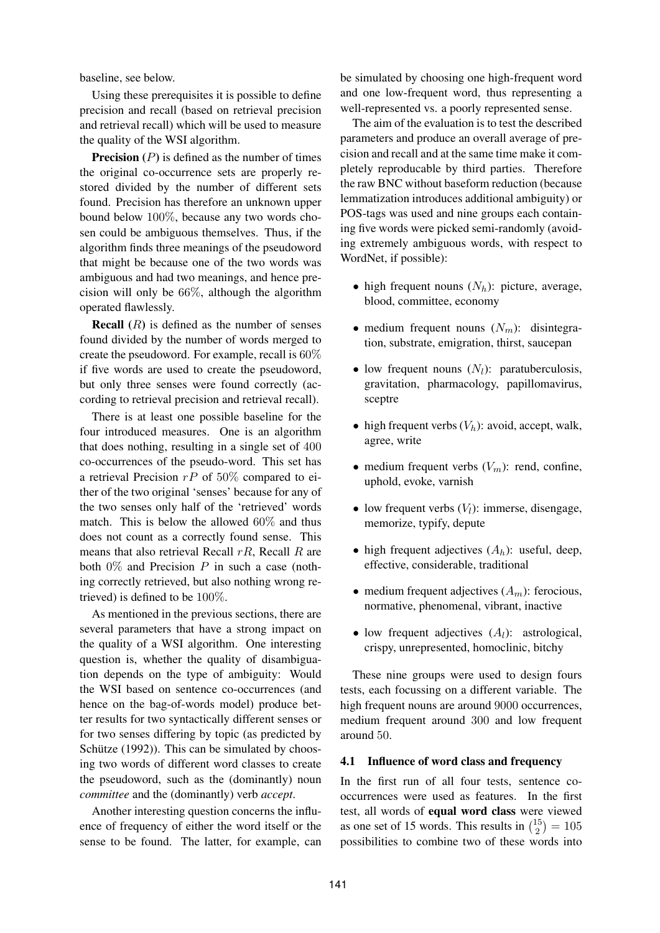baseline, see below.

Using these prerequisites it is possible to define precision and recall (based on retrieval precision and retrieval recall) which will be used to measure the quality of the WSI algorithm.

**Precision**  $(P)$  is defined as the number of times the original co-occurrence sets are properly restored divided by the number of different sets found. Precision has therefore an unknown upper bound below 100%, because any two words chosen could be ambiguous themselves. Thus, if the algorithm finds three meanings of the pseudoword that might be because one of the two words was ambiguous and had two meanings, and hence precision will only be 66%, although the algorithm operated flawlessly.

**Recall**  $(R)$  is defined as the number of senses found divided by the number of words merged to create the pseudoword. For example, recall is 60% if five words are used to create the pseudoword, but only three senses were found correctly (according to retrieval precision and retrieval recall).

There is at least one possible baseline for the four introduced measures. One is an algorithm that does nothing, resulting in a single set of 400 co-occurrences of the pseudo-word. This set has a retrieval Precision  $rP$  of 50% compared to either of the two original 'senses' because for any of the two senses only half of the 'retrieved' words match. This is below the allowed 60% and thus does not count as a correctly found sense. This means that also retrieval Recall  $rR$ , Recall R are both  $0\%$  and Precision P in such a case (nothing correctly retrieved, but also nothing wrong retrieved) is defined to be 100%.

As mentioned in the previous sections, there are several parameters that have a strong impact on the quality of a WSI algorithm. One interesting question is, whether the quality of disambiguation depends on the type of ambiguity: Would the WSI based on sentence co-occurrences (and hence on the bag-of-words model) produce better results for two syntactically different senses or for two senses differing by topic (as predicted by Schütze  $(1992)$ ). This can be simulated by choosing two words of different word classes to create the pseudoword, such as the (dominantly) noun *committee* and the (dominantly) verb *accept*.

Another interesting question concerns the influence of frequency of either the word itself or the sense to be found. The latter, for example, can be simulated by choosing one high-frequent word and one low-frequent word, thus representing a well-represented vs. a poorly represented sense.

The aim of the evaluation is to test the described parameters and produce an overall average of precision and recall and at the same time make it completely reproducable by third parties. Therefore the raw BNC without baseform reduction (because lemmatization introduces additional ambiguity) or POS-tags was used and nine groups each containing five words were picked semi-randomly (avoiding extremely ambiguous words, with respect to WordNet, if possible):

- high frequent nouns  $(N_h)$ : picture, average, blood, committee, economy
- medium frequent nouns  $(N_m)$ : disintegration, substrate, emigration, thirst, saucepan
- low frequent nouns  $(N_l)$ : paratuberculosis, gravitation, pharmacology, papillomavirus, sceptre
- high frequent verbs  $(V_h)$ : avoid, accept, walk, agree, write
- medium frequent verbs  $(V_m)$ : rend, confine, uphold, evoke, varnish
- low frequent verbs  $(V_l)$ : immerse, disengage, memorize, typify, depute
- high frequent adjectives  $(A_h)$ : useful, deep, effective, considerable, traditional
- medium frequent adjectives  $(A_m)$ : ferocious, normative, phenomenal, vibrant, inactive
- low frequent adjectives  $(A_l)$ : astrological, crispy, unrepresented, homoclinic, bitchy

These nine groups were used to design fours tests, each focussing on a different variable. The high frequent nouns are around 9000 occurrences, medium frequent around 300 and low frequent around 50.

#### **4.1 Influence of word class and frequency**

In the first run of all four tests, sentence cooccurrences were used as features. In the first test, all words of **equal word class** were viewed as one set of 15 words. This results in  $\binom{15}{2}$  $\binom{15}{2} = 105$ possibilities to combine two of these words into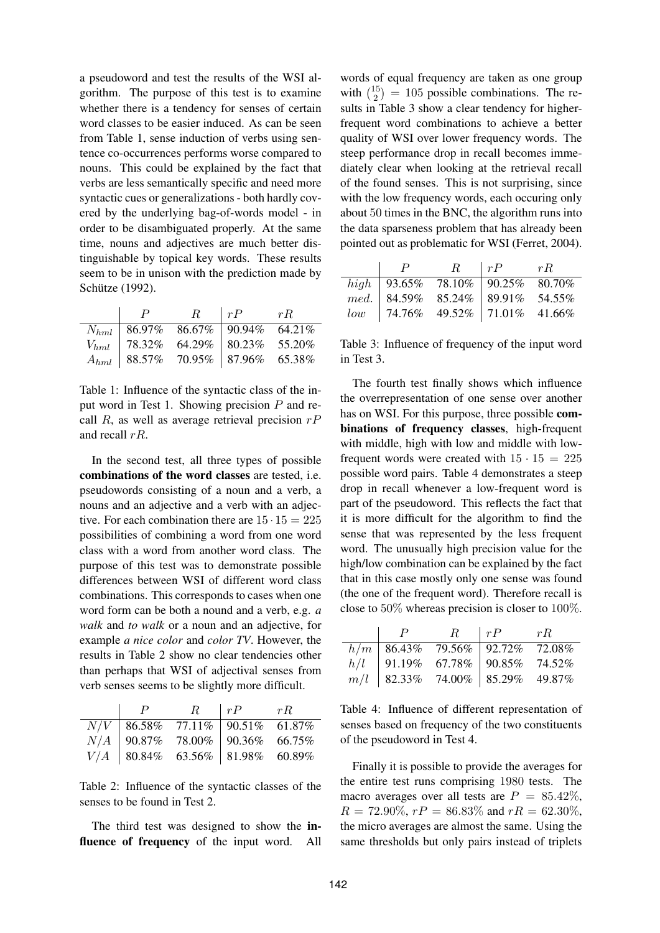a pseudoword and test the results of the WSI algorithm. The purpose of this test is to examine whether there is a tendency for senses of certain word classes to be easier induced. As can be seen from Table 1, sense induction of verbs using sentence co-occurrences performs worse compared to nouns. This could be explained by the fact that verbs are less semantically specific and need more syntactic cues or generalizations - both hardly covered by the underlying bag-of-words model - in order to be disambiguated properly. At the same time, nouns and adjectives are much better distinguishable by topical key words. These results seem to be in unison with the prediction made by Schütze (1992).

|                                           | R | $\mid rP$ $rR$ |  |
|-------------------------------------------|---|----------------|--|
|                                           |   |                |  |
| $V_{hml}$   78.32% 64.29%   80.23% 55.20% |   |                |  |
| $A_{hml}$   88.57% 70.95%   87.96% 65.38% |   |                |  |

Table 1: Influence of the syntactic class of the input word in Test 1. Showing precision P and recall R, as well as average retrieval precision  $rP$ and recall  $rR$ .

In the second test, all three types of possible **combinations of the word classes** are tested, i.e. pseudowords consisting of a noun and a verb, a nouns and an adjective and a verb with an adjective. For each combination there are  $15 \cdot 15 = 225$ possibilities of combining a word from one word class with a word from another word class. The purpose of this test was to demonstrate possible differences between WSI of different word class combinations. This corresponds to cases when one word form can be both a nound and a verb, e.g. *a walk* and *to walk* or a noun and an adjective, for example *a nice color* and *color TV*. However, the results in Table 2 show no clear tendencies other than perhaps that WSI of adjectival senses from verb senses seems to be slightly more difficult.

|  |                                   | $R \mid rP$ | rR |
|--|-----------------------------------|-------------|----|
|  | $N/V$ 86.58% 77.11% 90.51% 61.87% |             |    |
|  | $N/A$ 90.87% 78.00% 90.36% 66.75% |             |    |
|  | $V/A$ 80.84% 63.56% 81.98% 60.89% |             |    |

Table 2: Influence of the syntactic classes of the senses to be found in Test 2.

The third test was designed to show the **influence of frequency** of the input word. All

words of equal frequency are taken as one group with  $\binom{15}{2}$  $\binom{15}{2}$  = 105 possible combinations. The results in Table 3 show a clear tendency for higherfrequent word combinations to achieve a better quality of WSI over lower frequency words. The steep performance drop in recall becomes immediately clear when looking at the retrieval recall of the found senses. This is not surprising, since with the low frequency words, each occuring only about 50 times in the BNC, the algorithm runs into the data sparseness problem that has already been pointed out as problematic for WSI (Ferret, 2004).

|  | $P \qquad R \mid rP \qquad rR$                                                                                                                                                         |  |
|--|----------------------------------------------------------------------------------------------------------------------------------------------------------------------------------------|--|
|  |                                                                                                                                                                                        |  |
|  |                                                                                                                                                                                        |  |
|  | $\begin{tabular}{l cccc} high & 93.65\% & 78.10\% & 90.25\% & 80.70\% \\ med. & 84.59\% & 85.24\% & 89.91\% & 54.55\% \\ low & 74.76\% & 49.52\% & 71.01\% & 41.66\% \\ \end{tabular}$ |  |

Table 3: Influence of frequency of the input word in Test 3.

The fourth test finally shows which influence the overrepresentation of one sense over another has on WSI. For this purpose, three possible **combinations of frequency classes**, high-frequent with middle, high with low and middle with lowfrequent words were created with  $15 \cdot 15 = 225$ possible word pairs. Table 4 demonstrates a steep drop in recall whenever a low-frequent word is part of the pseudoword. This reflects the fact that it is more difficult for the algorithm to find the sense that was represented by the less frequent word. The unusually high precision value for the high/low combination can be explained by the fact that in this case mostly only one sense was found (the one of the frequent word). Therefore recall is close to 50% whereas precision is closer to 100%.

| P |                                                                                                                                              | $R \mid rP \mid rR$ |  |
|---|----------------------------------------------------------------------------------------------------------------------------------------------|---------------------|--|
|   |                                                                                                                                              |                     |  |
|   | $\begin{tabular}{c c c c c} $h/m$ & 86.43\% & 79.56\% & 92.72\% & 72.08\% \\ $h/l$ & 91.19\% & 67.78\% & 90.85\% & 74.52\% \\ \end{tabular}$ |                     |  |
|   | $m/l$ 82.33% 74.00% 85.29% 49.87%                                                                                                            |                     |  |

Table 4: Influence of different representation of senses based on frequency of the two constituents of the pseudoword in Test 4.

Finally it is possible to provide the averages for the entire test runs comprising 1980 tests. The macro averages over all tests are  $P = 85.42\%,$  $R = 72.90\%, rP = 86.83\%$  and  $rR = 62.30\%,$ the micro averages are almost the same. Using the same thresholds but only pairs instead of triplets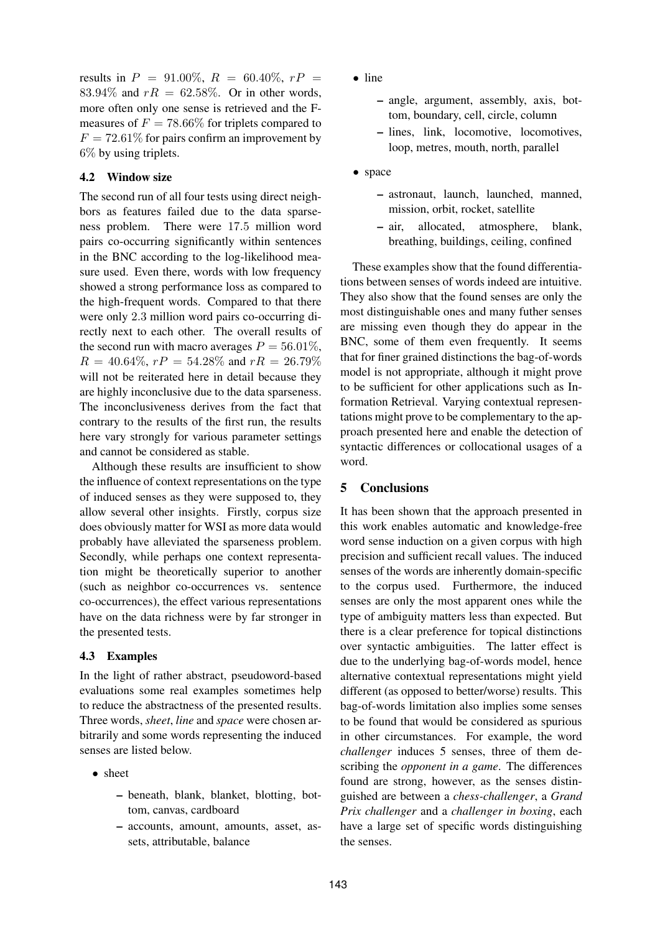results in  $P = 91.00\%, R = 60.40\%, rP =$ 83.94% and  $rR = 62.58\%$ . Or in other words, more often only one sense is retrieved and the Fmeasures of  $F = 78.66\%$  for triplets compared to  $F = 72.61\%$  for pairs confirm an improvement by 6% by using triplets.

## **4.2 Window size**

The second run of all four tests using direct neighbors as features failed due to the data sparseness problem. There were 17.5 million word pairs co-occurring significantly within sentences in the BNC according to the log-likelihood measure used. Even there, words with low frequency showed a strong performance loss as compared to the high-frequent words. Compared to that there were only 2.3 million word pairs co-occurring directly next to each other. The overall results of the second run with macro averages  $P = 56.01\%$ ,  $R = 40.64\%, rP = 54.28\%$  and  $rR = 26.79\%$ will not be reiterated here in detail because they are highly inconclusive due to the data sparseness. The inconclusiveness derives from the fact that contrary to the results of the first run, the results here vary strongly for various parameter settings and cannot be considered as stable.

Although these results are insufficient to show the influence of context representations on the type of induced senses as they were supposed to, they allow several other insights. Firstly, corpus size does obviously matter for WSI as more data would probably have alleviated the sparseness problem. Secondly, while perhaps one context representation might be theoretically superior to another (such as neighbor co-occurrences vs. sentence co-occurrences), the effect various representations have on the data richness were by far stronger in the presented tests.

#### **4.3 Examples**

In the light of rather abstract, pseudoword-based evaluations some real examples sometimes help to reduce the abstractness of the presented results. Three words, *sheet*, *line* and *space* were chosen arbitrarily and some words representing the induced senses are listed below.

- sheet
	- **–** beneath, blank, blanket, blotting, bottom, canvas, cardboard
	- **–** accounts, amount, amounts, asset, assets, attributable, balance
- line
	- **–** angle, argument, assembly, axis, bottom, boundary, cell, circle, column
	- **–** lines, link, locomotive, locomotives, loop, metres, mouth, north, parallel
- space
	- **–** astronaut, launch, launched, manned, mission, orbit, rocket, satellite
	- **–** air, allocated, atmosphere, blank, breathing, buildings, ceiling, confined

These examples show that the found differentiations between senses of words indeed are intuitive. They also show that the found senses are only the most distinguishable ones and many futher senses are missing even though they do appear in the BNC, some of them even frequently. It seems that for finer grained distinctions the bag-of-words model is not appropriate, although it might prove to be sufficient for other applications such as Information Retrieval. Varying contextual representations might prove to be complementary to the approach presented here and enable the detection of syntactic differences or collocational usages of a word.

# **5 Conclusions**

It has been shown that the approach presented in this work enables automatic and knowledge-free word sense induction on a given corpus with high precision and sufficient recall values. The induced senses of the words are inherently domain-specific to the corpus used. Furthermore, the induced senses are only the most apparent ones while the type of ambiguity matters less than expected. But there is a clear preference for topical distinctions over syntactic ambiguities. The latter effect is due to the underlying bag-of-words model, hence alternative contextual representations might yield different (as opposed to better/worse) results. This bag-of-words limitation also implies some senses to be found that would be considered as spurious in other circumstances. For example, the word *challenger* induces 5 senses, three of them describing the *opponent in a game*. The differences found are strong, however, as the senses distinguished are between a *chess-challenger*, a *Grand Prix challenger* and a *challenger in boxing*, each have a large set of specific words distinguishing the senses.